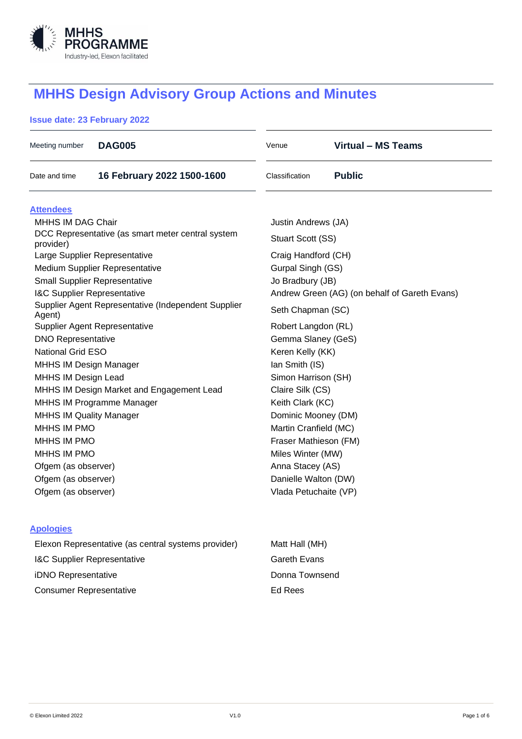

# **MHHS Design Advisory Group Actions and Minutes**

## **Issue date: 23 February 2022**

| Meeting number                                                 | <b>DAG005</b>              | Venue                                         | <b>Virtual - MS Teams</b> |  |
|----------------------------------------------------------------|----------------------------|-----------------------------------------------|---------------------------|--|
| Date and time                                                  | 16 February 2022 1500-1600 | Classification                                | <b>Public</b>             |  |
| <b>Attendees</b>                                               |                            |                                               |                           |  |
| <b>MHHS IM DAG Chair</b>                                       |                            | Justin Andrews (JA)                           |                           |  |
| DCC Representative (as smart meter central system<br>provider) |                            | Stuart Scott (SS)                             |                           |  |
| Large Supplier Representative                                  |                            | Craig Handford (CH)                           |                           |  |
| Medium Supplier Representative                                 |                            | Gurpal Singh (GS)                             |                           |  |
| <b>Small Supplier Representative</b>                           |                            | Jo Bradbury (JB)                              |                           |  |
| I&C Supplier Representative                                    |                            | Andrew Green (AG) (on behalf of Gareth Evans) |                           |  |
| Supplier Agent Representative (Independent Supplier<br>Agent)  |                            | Seth Chapman (SC)                             |                           |  |
| Supplier Agent Representative                                  |                            | Robert Langdon (RL)                           |                           |  |
| <b>DNO Representative</b>                                      |                            | Gemma Slaney (GeS)                            |                           |  |
| <b>National Grid ESO</b>                                       |                            | Keren Kelly (KK)                              |                           |  |
| <b>MHHS IM Design Manager</b>                                  |                            | Ian Smith (IS)                                |                           |  |
| <b>MHHS IM Design Lead</b>                                     |                            | Simon Harrison (SH)                           |                           |  |
| MHHS IM Design Market and Engagement Lead                      |                            | Claire Silk (CS)                              |                           |  |
| MHHS IM Programme Manager                                      |                            | Keith Clark (KC)                              |                           |  |
| <b>MHHS IM Quality Manager</b>                                 |                            | Dominic Mooney (DM)                           |                           |  |
| <b>MHHS IM PMO</b>                                             |                            | Martin Cranfield (MC)                         |                           |  |
| MHHS IM PMO                                                    |                            | Fraser Mathieson (FM)                         |                           |  |
| MHHS IM PMO                                                    |                            | Miles Winter (MW)                             |                           |  |
| Ofgem (as observer)                                            |                            | Anna Stacey (AS)                              |                           |  |
| Ofgem (as observer)                                            |                            | Danielle Walton (DW)                          |                           |  |
| Ofgem (as observer)                                            |                            | Vlada Petuchaite (VP)                         |                           |  |
| <b>Apologies</b>                                               |                            |                                               |                           |  |

| Elexon Representative (as central systems provider) |
|-----------------------------------------------------|
| <b>I&amp;C Supplier Representative</b>              |
| <b>iDNO Representative</b>                          |
| <b>Consumer Representative</b>                      |

**Matt Hall (MH)** Gareth Evans Donna Townsend Ed Rees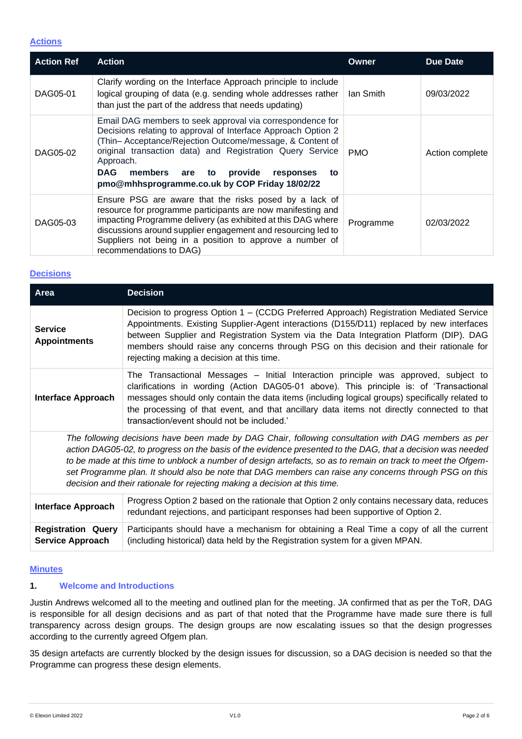#### **Actions**

| <b>Action Ref</b> | <b>Action</b>                                                                                                                                                                                                                                                                                                                                                                       | <b>Owner</b> | <b>Due Date</b> |
|-------------------|-------------------------------------------------------------------------------------------------------------------------------------------------------------------------------------------------------------------------------------------------------------------------------------------------------------------------------------------------------------------------------------|--------------|-----------------|
| DAG05-01          | Clarify wording on the Interface Approach principle to include<br>logical grouping of data (e.g. sending whole addresses rather<br>than just the part of the address that needs updating)                                                                                                                                                                                           | lan Smith    | 09/03/2022      |
| DAG05-02          | Email DAG members to seek approval via correspondence for<br>Decisions relating to approval of Interface Approach Option 2<br>(Thin-Acceptance/Rejection Outcome/message, & Content of<br>original transaction data) and Registration Query Service<br>Approach.<br><b>DAG</b><br>to provide<br>members<br>are<br>responses<br>to<br>pmo@mhhsprogramme.co.uk by COP Friday 18/02/22 | <b>PMO</b>   | Action complete |
| DAG05-03          | Ensure PSG are aware that the risks posed by a lack of<br>resource for programme participants are now manifesting and<br>impacting Programme delivery (as exhibited at this DAG where<br>discussions around supplier engagement and resourcing led to<br>Suppliers not being in a position to approve a number of<br>recommendations to DAG)                                        | Programme    | 02/03/2022      |

#### **Decisions**

| Area                                                                                                                                                                                                                                                                                                                                                                                                                                                                                                                      | <b>Decision</b>                                                                                                                                                                                                                                                                                                                                                                                                              |  |  |
|---------------------------------------------------------------------------------------------------------------------------------------------------------------------------------------------------------------------------------------------------------------------------------------------------------------------------------------------------------------------------------------------------------------------------------------------------------------------------------------------------------------------------|------------------------------------------------------------------------------------------------------------------------------------------------------------------------------------------------------------------------------------------------------------------------------------------------------------------------------------------------------------------------------------------------------------------------------|--|--|
| <b>Service</b><br><b>Appointments</b>                                                                                                                                                                                                                                                                                                                                                                                                                                                                                     | Decision to progress Option 1 - (CCDG Preferred Approach) Registration Mediated Service<br>Appointments. Existing Supplier-Agent interactions (D155/D11) replaced by new interfaces<br>between Supplier and Registration System via the Data Integration Platform (DIP). DAG<br>members should raise any concerns through PSG on this decision and their rationale for<br>rejecting making a decision at this time.          |  |  |
| <b>Interface Approach</b>                                                                                                                                                                                                                                                                                                                                                                                                                                                                                                 | The Transactional Messages - Initial Interaction principle was approved, subject to<br>clarifications in wording (Action DAG05-01 above). This principle is: of 'Transactional<br>messages should only contain the data items (including logical groups) specifically related to<br>the processing of that event, and that ancillary data items not directly connected to that<br>transaction/event should not be included.' |  |  |
| The following decisions have been made by DAG Chair, following consultation with DAG members as per<br>action DAG05-02, to progress on the basis of the evidence presented to the DAG, that a decision was needed<br>to be made at this time to unblock a number of design artefacts, so as to remain on track to meet the Ofgem-<br>set Programme plan. It should also be note that DAG members can raise any concerns through PSG on this<br>decision and their rationale for rejecting making a decision at this time. |                                                                                                                                                                                                                                                                                                                                                                                                                              |  |  |
| <b>Interface Approach</b>                                                                                                                                                                                                                                                                                                                                                                                                                                                                                                 | Progress Option 2 based on the rationale that Option 2 only contains necessary data, reduces<br>redundant rejections, and participant responses had been supportive of Option 2.                                                                                                                                                                                                                                             |  |  |
| <b>Registration Query</b><br><b>Service Approach</b>                                                                                                                                                                                                                                                                                                                                                                                                                                                                      | Participants should have a mechanism for obtaining a Real Time a copy of all the current<br>(including historical) data held by the Registration system for a given MPAN.                                                                                                                                                                                                                                                    |  |  |

#### **Minutes**

#### **1. Welcome and Introductions**

Justin Andrews welcomed all to the meeting and outlined plan for the meeting. JA confirmed that as per the ToR, DAG is responsible for all design decisions and as part of that noted that the Programme have made sure there is full transparency across design groups. The design groups are now escalating issues so that the design progresses according to the currently agreed Ofgem plan.

35 design artefacts are currently blocked by the design issues for discussion, so a DAG decision is needed so that the Programme can progress these design elements.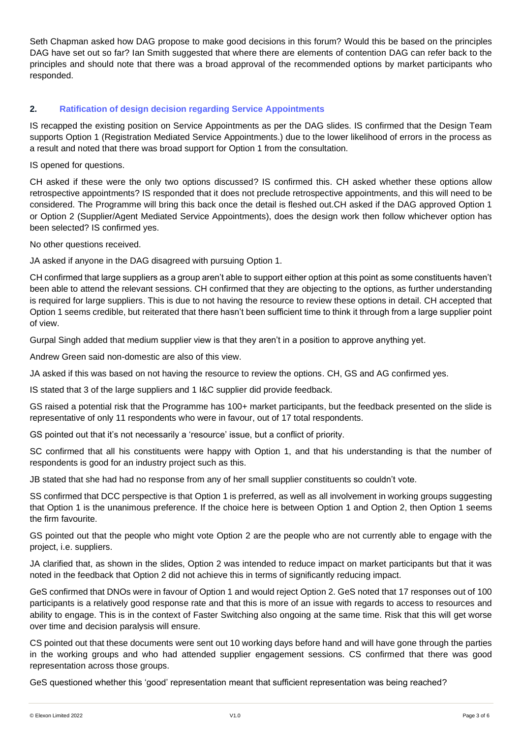Seth Chapman asked how DAG propose to make good decisions in this forum? Would this be based on the principles DAG have set out so far? Ian Smith suggested that where there are elements of contention DAG can refer back to the principles and should note that there was a broad approval of the recommended options by market participants who responded.

### **2. Ratification of design decision regarding Service Appointments**

IS recapped the existing position on Service Appointments as per the DAG slides. IS confirmed that the Design Team supports Option 1 (Registration Mediated Service Appointments.) due to the lower likelihood of errors in the process as a result and noted that there was broad support for Option 1 from the consultation.

IS opened for questions.

CH asked if these were the only two options discussed? IS confirmed this. CH asked whether these options allow retrospective appointments? IS responded that it does not preclude retrospective appointments, and this will need to be considered. The Programme will bring this back once the detail is fleshed out.CH asked if the DAG approved Option 1 or Option 2 (Supplier/Agent Mediated Service Appointments), does the design work then follow whichever option has been selected? IS confirmed yes.

No other questions received.

JA asked if anyone in the DAG disagreed with pursuing Option 1.

CH confirmed that large suppliers as a group aren't able to support either option at this point as some constituents haven't been able to attend the relevant sessions. CH confirmed that they are objecting to the options, as further understanding is required for large suppliers. This is due to not having the resource to review these options in detail. CH accepted that Option 1 seems credible, but reiterated that there hasn't been sufficient time to think it through from a large supplier point of view.

Gurpal Singh added that medium supplier view is that they aren't in a position to approve anything yet.

Andrew Green said non-domestic are also of this view.

JA asked if this was based on not having the resource to review the options. CH, GS and AG confirmed yes.

IS stated that 3 of the large suppliers and 1 I&C supplier did provide feedback.

GS raised a potential risk that the Programme has 100+ market participants, but the feedback presented on the slide is representative of only 11 respondents who were in favour, out of 17 total respondents.

GS pointed out that it's not necessarily a 'resource' issue, but a conflict of priority.

SC confirmed that all his constituents were happy with Option 1, and that his understanding is that the number of respondents is good for an industry project such as this.

JB stated that she had had no response from any of her small supplier constituents so couldn't vote.

SS confirmed that DCC perspective is that Option 1 is preferred, as well as all involvement in working groups suggesting that Option 1 is the unanimous preference. If the choice here is between Option 1 and Option 2, then Option 1 seems the firm favourite.

GS pointed out that the people who might vote Option 2 are the people who are not currently able to engage with the project, i.e. suppliers.

JA clarified that, as shown in the slides, Option 2 was intended to reduce impact on market participants but that it was noted in the feedback that Option 2 did not achieve this in terms of significantly reducing impact.

GeS confirmed that DNOs were in favour of Option 1 and would reject Option 2. GeS noted that 17 responses out of 100 participants is a relatively good response rate and that this is more of an issue with regards to access to resources and ability to engage. This is in the context of Faster Switching also ongoing at the same time. Risk that this will get worse over time and decision paralysis will ensure.

CS pointed out that these documents were sent out 10 working days before hand and will have gone through the parties in the working groups and who had attended supplier engagement sessions. CS confirmed that there was good representation across those groups.

GeS questioned whether this 'good' representation meant that sufficient representation was being reached?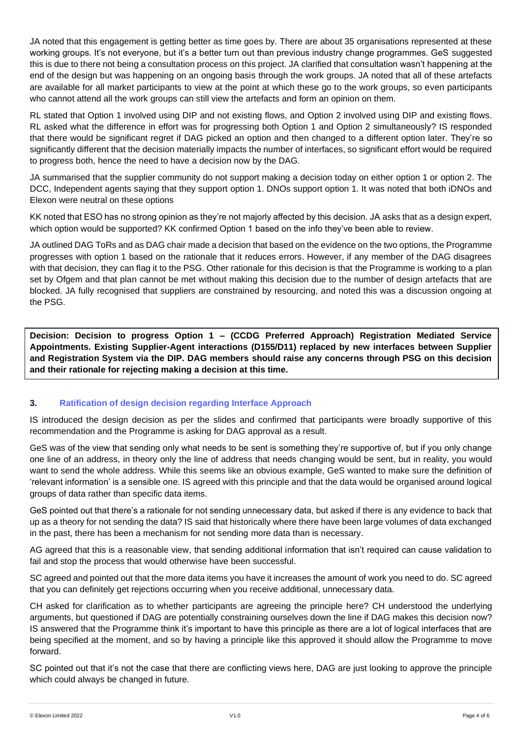JA noted that this engagement is getting better as time goes by. There are about 35 organisations represented at these working groups. It's not everyone, but it's a better turn out than previous industry change programmes. GeS suggested this is due to there not being a consultation process on this project. JA clarified that consultation wasn't happening at the end of the design but was happening on an ongoing basis through the work groups. JA noted that all of these artefacts are available for all market participants to view at the point at which these go to the work groups, so even participants who cannot attend all the work groups can still view the artefacts and form an opinion on them.

RL stated that Option 1 involved using DIP and not existing flows, and Option 2 involved using DIP and existing flows. RL asked what the difference in effort was for progressing both Option 1 and Option 2 simultaneously? IS responded that there would be significant regret if DAG picked an option and then changed to a different option later. They're so significantly different that the decision materially impacts the number of interfaces, so significant effort would be required to progress both, hence the need to have a decision now by the DAG.

JA summarised that the supplier community do not support making a decision today on either option 1 or option 2. The DCC, Independent agents saying that they support option 1. DNOs support option 1. It was noted that both iDNOs and Elexon were neutral on these options

KK noted that ESO has no strong opinion as they're not majorly affected by this decision. JA asks that as a design expert, which option would be supported? KK confirmed Option 1 based on the info they've been able to review.

JA outlined DAG ToRs and as DAG chair made a decision that based on the evidence on the two options, the Programme progresses with option 1 based on the rationale that it reduces errors. However, if any member of the DAG disagrees with that decision, they can flag it to the PSG. Other rationale for this decision is that the Programme is working to a plan set by Ofgem and that plan cannot be met without making this decision due to the number of design artefacts that are blocked. JA fully recognised that suppliers are constrained by resourcing, and noted this was a discussion ongoing at the PSG.

**Decision: Decision to progress Option 1 – (CCDG Preferred Approach) Registration Mediated Service Appointments. Existing Supplier-Agent interactions (D155/D11) replaced by new interfaces between Supplier and Registration System via the DIP. DAG members should raise any concerns through PSG on this decision and their rationale for rejecting making a decision at this time.**

## **3. Ratification of design decision regarding Interface Approach**

IS introduced the design decision as per the slides and confirmed that participants were broadly supportive of this recommendation and the Programme is asking for DAG approval as a result.

GeS was of the view that sending only what needs to be sent is something they're supportive of, but if you only change one line of an address, in theory only the line of address that needs changing would be sent, but in reality, you would want to send the whole address. While this seems like an obvious example, GeS wanted to make sure the definition of 'relevant information' is a sensible one. IS agreed with this principle and that the data would be organised around logical groups of data rather than specific data items.

GeS pointed out that there's a rationale for not sending unnecessary data, but asked if there is any evidence to back that up as a theory for not sending the data? IS said that historically where there have been large volumes of data exchanged in the past, there has been a mechanism for not sending more data than is necessary.

AG agreed that this is a reasonable view, that sending additional information that isn't required can cause validation to fail and stop the process that would otherwise have been successful.

SC agreed and pointed out that the more data items you have it increases the amount of work you need to do. SC agreed that you can definitely get rejections occurring when you receive additional, unnecessary data.

CH asked for clarification as to whether participants are agreeing the principle here? CH understood the underlying arguments, but questioned if DAG are potentially constraining ourselves down the line if DAG makes this decision now? IS answered that the Programme think it's important to have this principle as there are a lot of logical interfaces that are being specified at the moment, and so by having a principle like this approved it should allow the Programme to move forward.

SC pointed out that it's not the case that there are conflicting views here. DAG are just looking to approve the principle which could always be changed in future.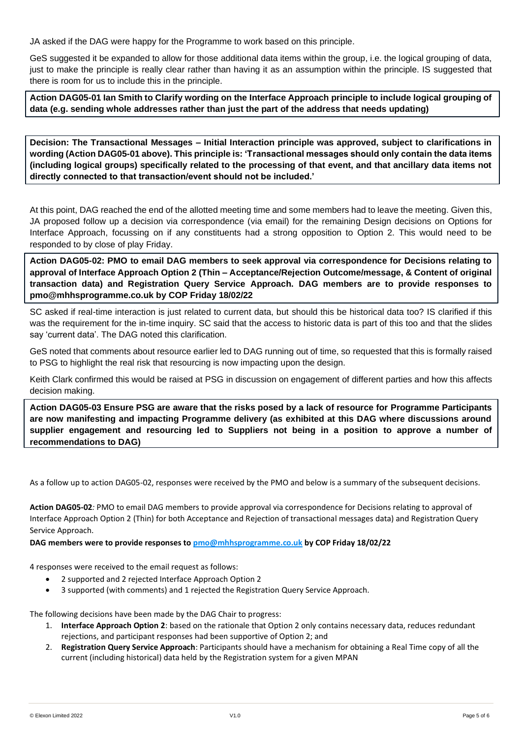JA asked if the DAG were happy for the Programme to work based on this principle.

GeS suggested it be expanded to allow for those additional data items within the group, i.e. the logical grouping of data, just to make the principle is really clear rather than having it as an assumption within the principle. IS suggested that there is room for us to include this in the principle.

**Action DAG05-01 Ian Smith to Clarify wording on the Interface Approach principle to include logical grouping of data (e.g. sending whole addresses rather than just the part of the address that needs updating)**

**Decision: The Transactional Messages – Initial Interaction principle was approved, subject to clarifications in wording (Action DAG05-01 above). This principle is: 'Transactional messages should only contain the data items (including logical groups) specifically related to the processing of that event, and that ancillary data items not directly connected to that transaction/event should not be included.'**

At this point, DAG reached the end of the allotted meeting time and some members had to leave the meeting. Given this, JA proposed follow up a decision via correspondence (via email) for the remaining Design decisions on Options for Interface Approach, focussing on if any constituents had a strong opposition to Option 2. This would need to be responded to by close of play Friday.

**Action DAG05-02: PMO to email DAG members to seek approval via correspondence for Decisions relating to approval of Interface Approach Option 2 (Thin – Acceptance/Rejection Outcome/message, & Content of original transaction data) and Registration Query Service Approach. DAG members are to provide responses to pmo@mhhsprogramme.co.uk by COP Friday 18/02/22**

SC asked if real-time interaction is just related to current data, but should this be historical data too? IS clarified if this was the requirement for the in-time inquiry. SC said that the access to historic data is part of this too and that the slides say 'current data'. The DAG noted this clarification.

GeS noted that comments about resource earlier led to DAG running out of time, so requested that this is formally raised to PSG to highlight the real risk that resourcing is now impacting upon the design.

Keith Clark confirmed this would be raised at PSG in discussion on engagement of different parties and how this affects decision making.

**Action DAG05-03 Ensure PSG are aware that the risks posed by a lack of resource for Programme Participants are now manifesting and impacting Programme delivery (as exhibited at this DAG where discussions around supplier engagement and resourcing led to Suppliers not being in a position to approve a number of recommendations to DAG)**

As a follow up to action DAG05-02, responses were received by the PMO and below is a summary of the subsequent decisions.

**Action DAG05-02***:* PMO to email DAG members to provide approval via correspondence for Decisions relating to approval of Interface Approach Option 2 (Thin) for both Acceptance and Rejection of transactional messages data) and Registration Query Service Approach.

**DAG members were to provide responses to [pmo@mhhsprogramme.co.uk](mailto:pmo@mhhsprogramme.co.uk) by COP Friday 18/02/22**

4 responses were received to the email request as follows:

- 2 supported and 2 rejected Interface Approach Option 2
- 3 supported (with comments) and 1 rejected the Registration Query Service Approach.

The following decisions have been made by the DAG Chair to progress:

- 1. **Interface Approach Option 2**: based on the rationale that Option 2 only contains necessary data, reduces redundant rejections, and participant responses had been supportive of Option 2; and
- 2. **Registration Query Service Approach**: Participants should have a mechanism for obtaining a Real Time copy of all the current (including historical) data held by the Registration system for a given MPAN